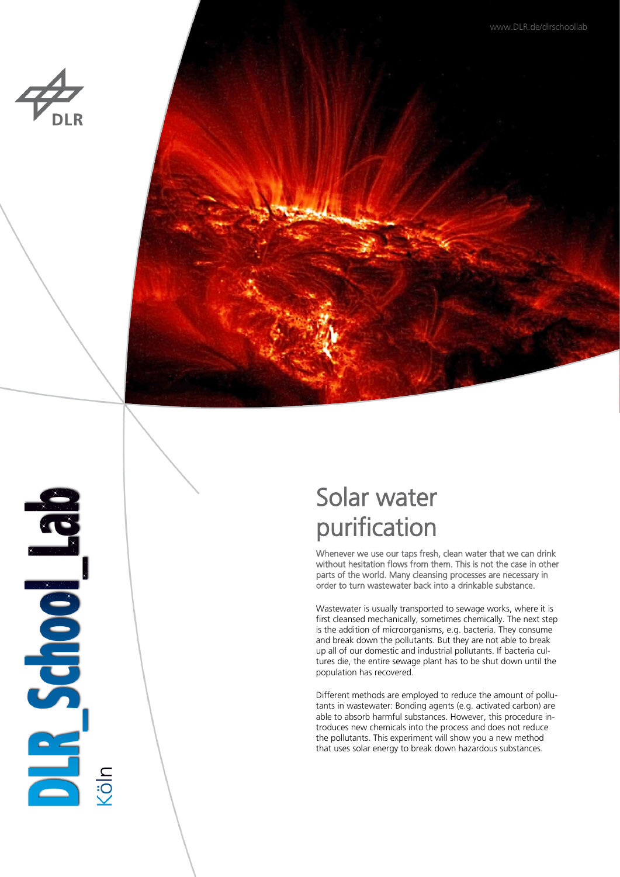





**BLICKER** 

# Solar water purification

Whenever we use our taps fresh, clean water that we can drink without hesitation flows from them. This is not the case in other parts of the world. Many cleansing processes are necessary in order to turn wastewater back into a drinkable substance.

Wastewater is usually transported to sewage works, where it is first cleansed mechanically, sometimes chemically. The next step is the addition of microorganisms, e.g. bacteria. They consume and break down the pollutants. But they are not able to break up all of our domestic and industrial pollutants. If bacteria cultures die, the entire sewage plant has to be shut down until the population has recovered.

Different methods are employed to reduce the amount of pollutants in wastewater: Bonding agents (e.g. activated carbon) are able to absorb harmful substances. However, this procedure introduces new chemicals into the process and does not reduce the pollutants. This experiment will show you a new method that uses solar energy to break down hazardous substances.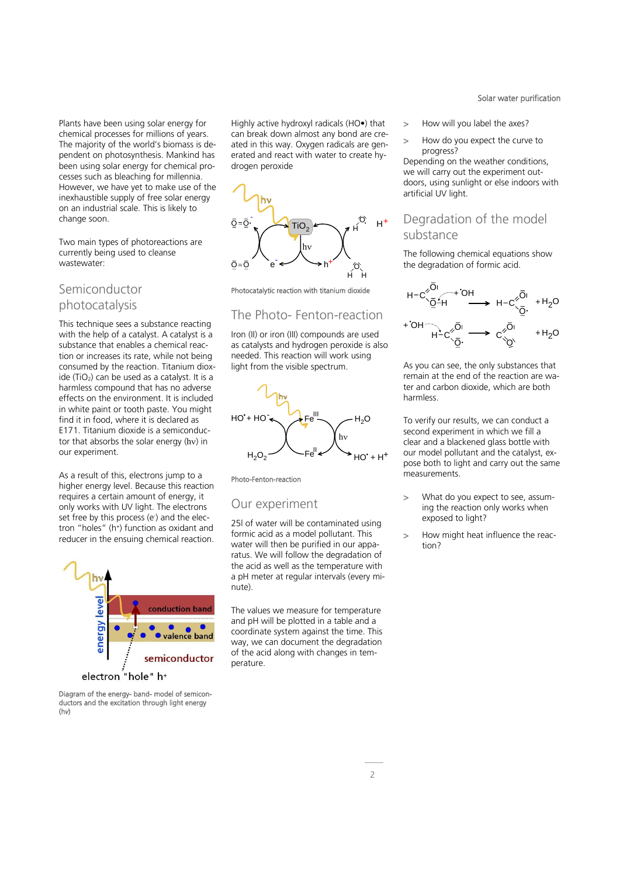Plants have been using solar energy for chemical processes for millions of years. The majority of the world's biomass is dependent on photosynthesis. Mankind has been using solar energy for chemical processes such as bleaching for millennia. However, we have yet to make use of the inexhaustible supply of free solar energy on an industrial scale. This is likely to change soon.

Two main types of photoreactions are currently being used to cleanse wastewater:

### Semiconductor photocatalysis

This technique sees a substance reacting with the help of a catalyst. A catalyst is a substance that enables a chemical reaction or increases its rate, while not being consumed by the reaction. Titanium dioxide (TiO<sub>2</sub>) can be used as a catalyst. It is a harmless compound that has no adverse effects on the environment. It is included in white paint or tooth paste. You might find it in food, where it is declared as E171. Titanium dioxide is a semiconductor that absorbs the solar energy  $(hv)$  in our experiment.

As a result of this, electrons jump to a higher energy level. Because this reaction requires a certain amount of energy, it only works with UV light. The electrons set free by this process (e) and the electron "holes" (h<sup>+</sup> ) function as oxidant and reducer in the ensuing chemical reaction.



Diagram of the energy- band- model of semiconductors and the excitation through light energy (h*v*)

Highly active hydroxyl radicals (HO•) that can break down almost any bond are created in this way. Oxygen radicals are generated and react with water to create hydrogen peroxide



Photocatalytic reaction with titanium dioxide

### The Photo- Fenton-reaction

Iron (II) or iron (III) compounds are used as catalysts and hydrogen peroxide is also needed. This reaction will work using light from the visible spectrum.



Photo-Fenton-reaction

#### Our experiment

25l of water will be contaminated using formic acid as a model pollutant. This water will then be purified in our apparatus. We will follow the degradation of the acid as well as the temperature with a pH meter at regular intervals (every minute).

The values we measure for temperature and pH will be plotted in a table and a coordinate system against the time. This way, we can document the degradation of the acid along with changes in temperature.

Solar water purification

- > How will you label the axes?
- > How do you expect the curve to progress?

Depending on the weather conditions, we will carry out the experiment outdoors, using sunlight or else indoors with artificial UV light.

### Degradation of the model substance

The following chemical equations show the degradation of formic acid.

$$
H-C\begin{array}{ccc}\n\big\langle\overline{Q}^{+}H\big\rangle & H-C\begin{array}{ccc}\n\big\langle\overline{Q}^{+}H\big\rangle & H-C\begin{array}{ccc}\n\big\langle\overline{Q}^{+}H\big\rangle & H^2O\n\end{array}\n\end{array}
$$
\n
$$
H-C\begin{array}{ccc}\n\big\langle\overline{Q}^{+}H\big\rangle & H^2O\n\end{array}
$$
\n
$$
H-C\begin{array}{ccc}\n\big\langle\overline{Q}^{+}H\big\rangle & H^2O\n\end{array}
$$

As you can see, the only substances that remain at the end of the reaction are water and carbon dioxide, which are both harmless.

To verify our results, we can conduct a second experiment in which we fill a clear and a blackened glass bottle with our model pollutant and the catalyst, expose both to light and carry out the same measurements.

- > What do you expect to see, assuming the reaction only works when exposed to light?
- > How might heat influence the reaction?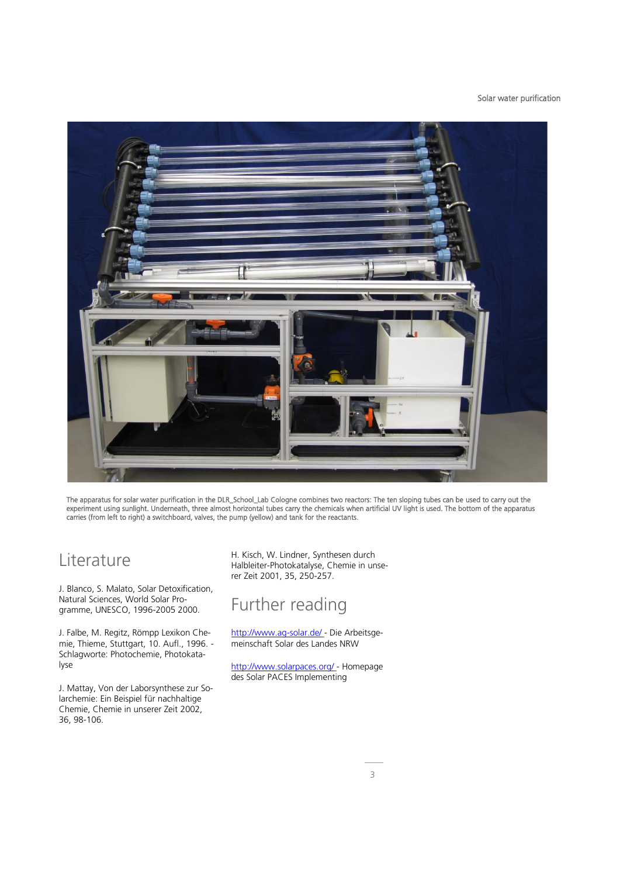Solar water purification



The apparatus for solar water purification in the DLR\_School\_Lab Cologne combines two reactors: The ten sloping tubes can be used to carry out the experiment using sunlight. Underneath, three almost horizontal tubes carry the chemicals when artificial UV light is used. The bottom of the apparatus carries (from left to right) a switchboard, valves, the pump (yellow) and tank for the reactants.

## Literature

J. Blanco, S. Malato, Solar Detoxification, Natural Sciences, World Solar Programme, UNESCO, 1996-2005 2000.

J. Falbe, M. Regitz, Römpp Lexikon Chemie, Thieme, Stuttgart, 10. Aufl., 1996. - Schlagworte: Photochemie, Photokatalyse

J. Mattay, Von der Laborsynthese zur Solarchemie: Ein Beispiel für nachhaltige Chemie, Chemie in unserer Zeit 2002, 36, 98-106.

H. Kisch, W. Lindner, Synthesen durch Halbleiter-Photokatalyse, Chemie in unserer Zeit 2001, 35, 250-257.

# Further reading

<http://www.ag-solar.de/> - Die Arbeitsgemeinschaft Solar des Landes NRW

<http://www.solarpaces.org/> - Homepage des Solar PACES Implementing